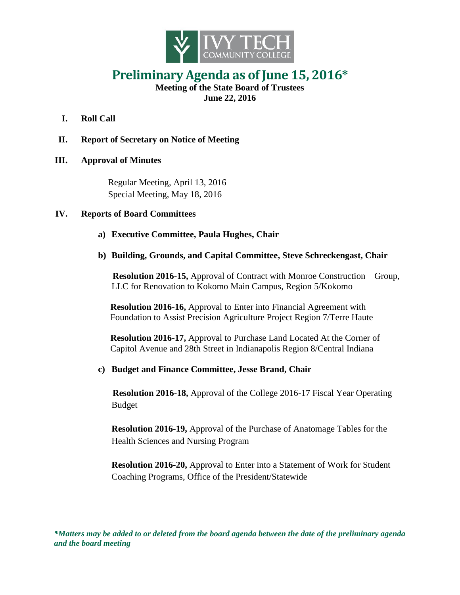

## **Preliminary Agenda as of June 15, 2016\***

**Meeting of the State Board of Trustees June 22, 2016**

- **I. Roll Call**
- **II. Report of Secretary on Notice of Meeting**

## **III. Approval of Minutes**

Regular Meeting, April 13, 2016 Special Meeting, May 18, 2016

## **IV. Reports of Board Committees**

- **a) Executive Committee, Paula Hughes, Chair**
- **b) Building, Grounds, and Capital Committee, Steve Schreckengast, Chair**

**Resolution 2016-15,** Approval of Contract with Monroe Construction Group, LLC for Renovation to Kokomo Main Campus, Region 5/Kokomo

**Resolution 2016-16,** Approval to Enter into Financial Agreement with Foundation to Assist Precision Agriculture Project Region 7/Terre Haute

**Resolution 2016-17,** Approval to Purchase Land Located At the Corner of Capitol Avenue and 28th Street in Indianapolis Region 8/Central Indiana

**c) Budget and Finance Committee, Jesse Brand, Chair**

**Resolution 2016-18,** Approval of the College 2016-17 Fiscal Year Operating Budget

**Resolution 2016-19,** Approval of the Purchase of Anatomage Tables for the Health Sciences and Nursing Program

**Resolution 2016-20,** Approval to Enter into a Statement of Work for Student Coaching Programs, Office of the President/Statewide